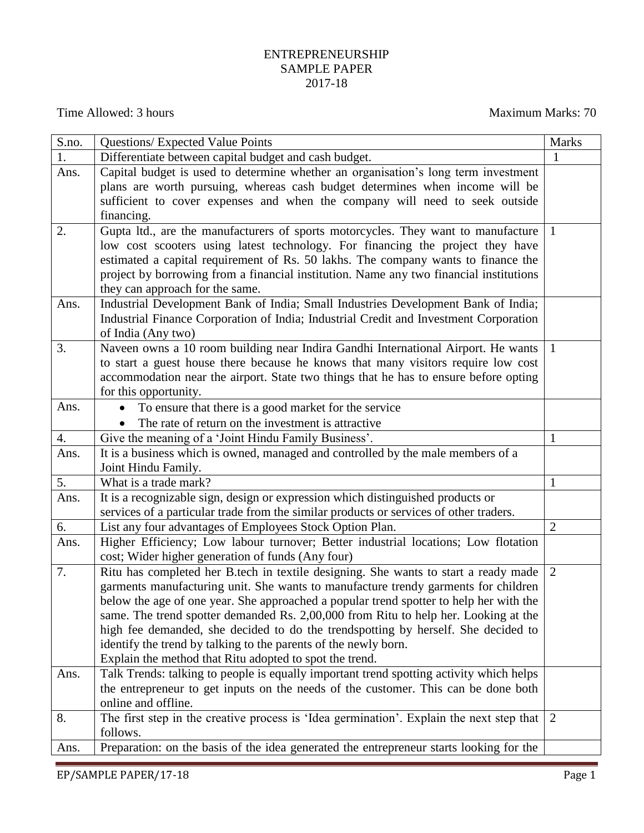## ENTREPRENEURSHIP SAMPLE PAPER 2017-18

Time Allowed: 3 hours Maximum Marks: 70

| S.no. | <b>Questions/ Expected Value Points</b>                                                                                                                                       | <b>Marks</b>   |  |  |
|-------|-------------------------------------------------------------------------------------------------------------------------------------------------------------------------------|----------------|--|--|
| 1.    | Differentiate between capital budget and cash budget.                                                                                                                         | 1              |  |  |
| Ans.  | Capital budget is used to determine whether an organisation's long term investment                                                                                            |                |  |  |
|       | plans are worth pursuing, whereas cash budget determines when income will be                                                                                                  |                |  |  |
|       | sufficient to cover expenses and when the company will need to seek outside                                                                                                   |                |  |  |
|       | financing.                                                                                                                                                                    |                |  |  |
| 2.    | Gupta ltd., are the manufacturers of sports motorcycles. They want to manufacture                                                                                             | -1             |  |  |
|       | low cost scooters using latest technology. For financing the project they have                                                                                                |                |  |  |
|       | estimated a capital requirement of Rs. 50 lakhs. The company wants to finance the                                                                                             |                |  |  |
|       | project by borrowing from a financial institution. Name any two financial institutions                                                                                        |                |  |  |
|       | they can approach for the same.                                                                                                                                               |                |  |  |
| Ans.  | Industrial Development Bank of India; Small Industries Development Bank of India;                                                                                             |                |  |  |
|       | Industrial Finance Corporation of India; Industrial Credit and Investment Corporation                                                                                         |                |  |  |
|       | of India (Any two)                                                                                                                                                            |                |  |  |
| 3.    | Naveen owns a 10 room building near Indira Gandhi International Airport. He wants                                                                                             | $\mathbf{1}$   |  |  |
|       | to start a guest house there because he knows that many visitors require low cost                                                                                             |                |  |  |
|       | accommodation near the airport. State two things that he has to ensure before opting                                                                                          |                |  |  |
|       | for this opportunity.                                                                                                                                                         |                |  |  |
| Ans.  | To ensure that there is a good market for the service                                                                                                                         |                |  |  |
|       | The rate of return on the investment is attractive                                                                                                                            |                |  |  |
| 4.    | Give the meaning of a 'Joint Hindu Family Business'.                                                                                                                          | $\mathbf{1}$   |  |  |
| Ans.  | It is a business which is owned, managed and controlled by the male members of a                                                                                              |                |  |  |
|       | Joint Hindu Family.                                                                                                                                                           |                |  |  |
| 5.    | What is a trade mark?                                                                                                                                                         | $\mathbf{1}$   |  |  |
| Ans.  | It is a recognizable sign, design or expression which distinguished products or                                                                                               |                |  |  |
|       | services of a particular trade from the similar products or services of other traders.                                                                                        |                |  |  |
| 6.    | List any four advantages of Employees Stock Option Plan.                                                                                                                      | $\overline{2}$ |  |  |
| Ans.  | Higher Efficiency; Low labour turnover; Better industrial locations; Low flotation                                                                                            |                |  |  |
|       | cost; Wider higher generation of funds (Any four)                                                                                                                             |                |  |  |
| 7.    | Ritu has completed her B.tech in textile designing. She wants to start a ready made                                                                                           | 2              |  |  |
|       | garments manufacturing unit. She wants to manufacture trendy garments for children                                                                                            |                |  |  |
|       | below the age of one year. She approached a popular trend spotter to help her with the                                                                                        |                |  |  |
|       | same. The trend spotter demanded Rs. 2,00,000 from Ritu to help her. Looking at the                                                                                           |                |  |  |
|       | high fee demanded, she decided to do the trendspotting by herself. She decided to                                                                                             |                |  |  |
|       | identify the trend by talking to the parents of the newly born.                                                                                                               |                |  |  |
|       | Explain the method that Ritu adopted to spot the trend.                                                                                                                       |                |  |  |
| Ans.  | Talk Trends: talking to people is equally important trend spotting activity which helps<br>the entrepreneur to get inputs on the needs of the customer. This can be done both |                |  |  |
|       | online and offline.                                                                                                                                                           |                |  |  |
| 8.    |                                                                                                                                                                               | 2              |  |  |
|       | The first step in the creative process is 'Idea germination'. Explain the next step that<br>follows.                                                                          |                |  |  |
|       |                                                                                                                                                                               |                |  |  |
| Ans.  | Preparation: on the basis of the idea generated the entrepreneur starts looking for the                                                                                       |                |  |  |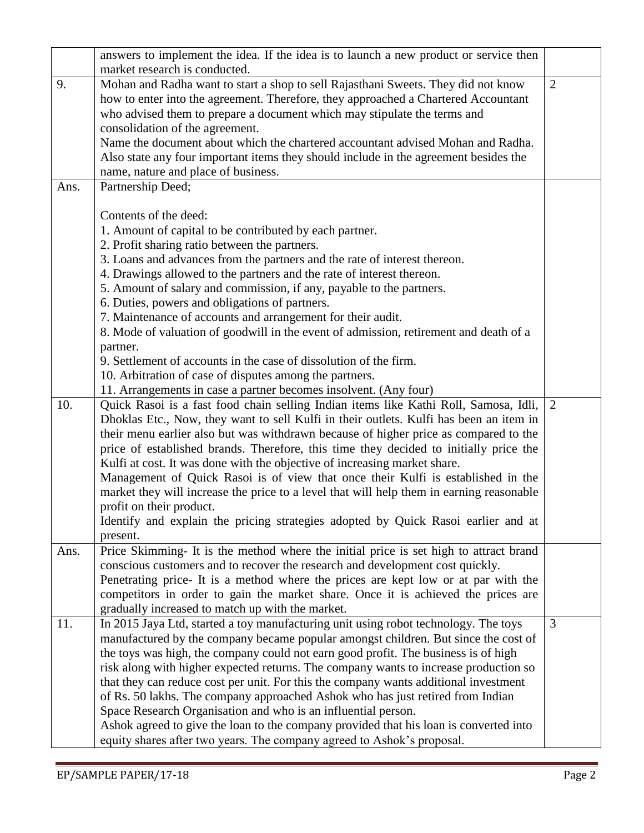|      | answers to implement the idea. If the idea is to launch a new product or service then                                                                               |                |
|------|---------------------------------------------------------------------------------------------------------------------------------------------------------------------|----------------|
|      | market research is conducted.                                                                                                                                       |                |
| 9.   | Mohan and Radha want to start a shop to sell Rajasthani Sweets. They did not know                                                                                   | $\overline{2}$ |
|      | how to enter into the agreement. Therefore, they approached a Chartered Accountant                                                                                  |                |
|      | who advised them to prepare a document which may stipulate the terms and                                                                                            |                |
|      | consolidation of the agreement.                                                                                                                                     |                |
|      | Name the document about which the chartered accountant advised Mohan and Radha.                                                                                     |                |
|      | Also state any four important items they should include in the agreement besides the                                                                                |                |
|      | name, nature and place of business.                                                                                                                                 |                |
| Ans. | Partnership Deed;                                                                                                                                                   |                |
|      |                                                                                                                                                                     |                |
|      | Contents of the deed:                                                                                                                                               |                |
|      | 1. Amount of capital to be contributed by each partner.                                                                                                             |                |
|      | 2. Profit sharing ratio between the partners.                                                                                                                       |                |
|      | 3. Loans and advances from the partners and the rate of interest thereon.                                                                                           |                |
|      | 4. Drawings allowed to the partners and the rate of interest thereon.                                                                                               |                |
|      | 5. Amount of salary and commission, if any, payable to the partners.                                                                                                |                |
|      | 6. Duties, powers and obligations of partners.                                                                                                                      |                |
|      | 7. Maintenance of accounts and arrangement for their audit.                                                                                                         |                |
|      | 8. Mode of valuation of goodwill in the event of admission, retirement and death of a                                                                               |                |
|      | partner.                                                                                                                                                            |                |
|      | 9. Settlement of accounts in the case of dissolution of the firm.                                                                                                   |                |
|      | 10. Arbitration of case of disputes among the partners.                                                                                                             |                |
|      | 11. Arrangements in case a partner becomes insolvent. (Any four)                                                                                                    |                |
| 10.  | Quick Rasoi is a fast food chain selling Indian items like Kathi Roll, Samosa, Idli,                                                                                | $\overline{2}$ |
|      | Dhoklas Etc., Now, they want to sell Kulfi in their outlets. Kulfi has been an item in                                                                              |                |
|      | their menu earlier also but was withdrawn because of higher price as compared to the                                                                                |                |
|      | price of established brands. Therefore, this time they decided to initially price the                                                                               |                |
|      | Kulfi at cost. It was done with the objective of increasing market share.                                                                                           |                |
|      | Management of Quick Rasoi is of view that once their Kulfi is established in the                                                                                    |                |
|      | market they will increase the price to a level that will help them in earning reasonable                                                                            |                |
|      | profit on their product.                                                                                                                                            |                |
|      | Identify and explain the pricing strategies adopted by Quick Rasoi earlier and at                                                                                   |                |
|      | present.                                                                                                                                                            |                |
| Ans. | Price Skimming- It is the method where the initial price is set high to attract brand                                                                               |                |
|      | conscious customers and to recover the research and development cost quickly.<br>Penetrating price- It is a method where the prices are kept low or at par with the |                |
|      | competitors in order to gain the market share. Once it is achieved the prices are                                                                                   |                |
|      | gradually increased to match up with the market.                                                                                                                    |                |
| 11.  | In 2015 Jaya Ltd, started a toy manufacturing unit using robot technology. The toys                                                                                 | 3              |
|      | manufactured by the company became popular amongst children. But since the cost of                                                                                  |                |
|      | the toys was high, the company could not earn good profit. The business is of high                                                                                  |                |
|      | risk along with higher expected returns. The company wants to increase production so                                                                                |                |
|      | that they can reduce cost per unit. For this the company wants additional investment                                                                                |                |
|      | of Rs. 50 lakhs. The company approached Ashok who has just retired from Indian                                                                                      |                |
|      | Space Research Organisation and who is an influential person.                                                                                                       |                |
|      | Ashok agreed to give the loan to the company provided that his loan is converted into                                                                               |                |
|      | equity shares after two years. The company agreed to Ashok's proposal.                                                                                              |                |
|      |                                                                                                                                                                     |                |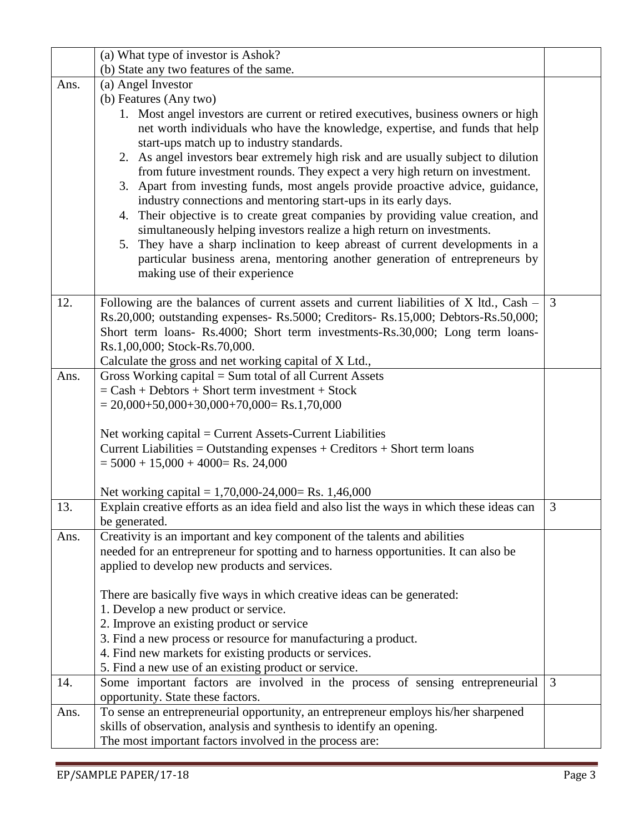| (a) What type of investor is Ashok?                                                |                                                                                                                                                                                                                                                                                                                                                                                                                                                                                                                                                                                                                                                                                                                                                                                                                                                                                                                                                                                                                                                                                                                                                                                                                                                                                                                                                                                                                                                                                                                                                                                                                                                                                                                                                                                                                                                                                                                                                                                                                                                                                                                                                                                                                                               |  |
|------------------------------------------------------------------------------------|-----------------------------------------------------------------------------------------------------------------------------------------------------------------------------------------------------------------------------------------------------------------------------------------------------------------------------------------------------------------------------------------------------------------------------------------------------------------------------------------------------------------------------------------------------------------------------------------------------------------------------------------------------------------------------------------------------------------------------------------------------------------------------------------------------------------------------------------------------------------------------------------------------------------------------------------------------------------------------------------------------------------------------------------------------------------------------------------------------------------------------------------------------------------------------------------------------------------------------------------------------------------------------------------------------------------------------------------------------------------------------------------------------------------------------------------------------------------------------------------------------------------------------------------------------------------------------------------------------------------------------------------------------------------------------------------------------------------------------------------------------------------------------------------------------------------------------------------------------------------------------------------------------------------------------------------------------------------------------------------------------------------------------------------------------------------------------------------------------------------------------------------------------------------------------------------------------------------------------------------------|--|
| (b) State any two features of the same.                                            |                                                                                                                                                                                                                                                                                                                                                                                                                                                                                                                                                                                                                                                                                                                                                                                                                                                                                                                                                                                                                                                                                                                                                                                                                                                                                                                                                                                                                                                                                                                                                                                                                                                                                                                                                                                                                                                                                                                                                                                                                                                                                                                                                                                                                                               |  |
| (a) Angel Investor                                                                 |                                                                                                                                                                                                                                                                                                                                                                                                                                                                                                                                                                                                                                                                                                                                                                                                                                                                                                                                                                                                                                                                                                                                                                                                                                                                                                                                                                                                                                                                                                                                                                                                                                                                                                                                                                                                                                                                                                                                                                                                                                                                                                                                                                                                                                               |  |
| (b) Features (Any two)                                                             |                                                                                                                                                                                                                                                                                                                                                                                                                                                                                                                                                                                                                                                                                                                                                                                                                                                                                                                                                                                                                                                                                                                                                                                                                                                                                                                                                                                                                                                                                                                                                                                                                                                                                                                                                                                                                                                                                                                                                                                                                                                                                                                                                                                                                                               |  |
| 1. Most angel investors are current or retired executives, business owners or high |                                                                                                                                                                                                                                                                                                                                                                                                                                                                                                                                                                                                                                                                                                                                                                                                                                                                                                                                                                                                                                                                                                                                                                                                                                                                                                                                                                                                                                                                                                                                                                                                                                                                                                                                                                                                                                                                                                                                                                                                                                                                                                                                                                                                                                               |  |
| net worth individuals who have the knowledge, expertise, and funds that help       |                                                                                                                                                                                                                                                                                                                                                                                                                                                                                                                                                                                                                                                                                                                                                                                                                                                                                                                                                                                                                                                                                                                                                                                                                                                                                                                                                                                                                                                                                                                                                                                                                                                                                                                                                                                                                                                                                                                                                                                                                                                                                                                                                                                                                                               |  |
| start-ups match up to industry standards.                                          |                                                                                                                                                                                                                                                                                                                                                                                                                                                                                                                                                                                                                                                                                                                                                                                                                                                                                                                                                                                                                                                                                                                                                                                                                                                                                                                                                                                                                                                                                                                                                                                                                                                                                                                                                                                                                                                                                                                                                                                                                                                                                                                                                                                                                                               |  |
|                                                                                    |                                                                                                                                                                                                                                                                                                                                                                                                                                                                                                                                                                                                                                                                                                                                                                                                                                                                                                                                                                                                                                                                                                                                                                                                                                                                                                                                                                                                                                                                                                                                                                                                                                                                                                                                                                                                                                                                                                                                                                                                                                                                                                                                                                                                                                               |  |
|                                                                                    |                                                                                                                                                                                                                                                                                                                                                                                                                                                                                                                                                                                                                                                                                                                                                                                                                                                                                                                                                                                                                                                                                                                                                                                                                                                                                                                                                                                                                                                                                                                                                                                                                                                                                                                                                                                                                                                                                                                                                                                                                                                                                                                                                                                                                                               |  |
|                                                                                    |                                                                                                                                                                                                                                                                                                                                                                                                                                                                                                                                                                                                                                                                                                                                                                                                                                                                                                                                                                                                                                                                                                                                                                                                                                                                                                                                                                                                                                                                                                                                                                                                                                                                                                                                                                                                                                                                                                                                                                                                                                                                                                                                                                                                                                               |  |
|                                                                                    |                                                                                                                                                                                                                                                                                                                                                                                                                                                                                                                                                                                                                                                                                                                                                                                                                                                                                                                                                                                                                                                                                                                                                                                                                                                                                                                                                                                                                                                                                                                                                                                                                                                                                                                                                                                                                                                                                                                                                                                                                                                                                                                                                                                                                                               |  |
|                                                                                    |                                                                                                                                                                                                                                                                                                                                                                                                                                                                                                                                                                                                                                                                                                                                                                                                                                                                                                                                                                                                                                                                                                                                                                                                                                                                                                                                                                                                                                                                                                                                                                                                                                                                                                                                                                                                                                                                                                                                                                                                                                                                                                                                                                                                                                               |  |
|                                                                                    |                                                                                                                                                                                                                                                                                                                                                                                                                                                                                                                                                                                                                                                                                                                                                                                                                                                                                                                                                                                                                                                                                                                                                                                                                                                                                                                                                                                                                                                                                                                                                                                                                                                                                                                                                                                                                                                                                                                                                                                                                                                                                                                                                                                                                                               |  |
|                                                                                    |                                                                                                                                                                                                                                                                                                                                                                                                                                                                                                                                                                                                                                                                                                                                                                                                                                                                                                                                                                                                                                                                                                                                                                                                                                                                                                                                                                                                                                                                                                                                                                                                                                                                                                                                                                                                                                                                                                                                                                                                                                                                                                                                                                                                                                               |  |
|                                                                                    |                                                                                                                                                                                                                                                                                                                                                                                                                                                                                                                                                                                                                                                                                                                                                                                                                                                                                                                                                                                                                                                                                                                                                                                                                                                                                                                                                                                                                                                                                                                                                                                                                                                                                                                                                                                                                                                                                                                                                                                                                                                                                                                                                                                                                                               |  |
|                                                                                    |                                                                                                                                                                                                                                                                                                                                                                                                                                                                                                                                                                                                                                                                                                                                                                                                                                                                                                                                                                                                                                                                                                                                                                                                                                                                                                                                                                                                                                                                                                                                                                                                                                                                                                                                                                                                                                                                                                                                                                                                                                                                                                                                                                                                                                               |  |
|                                                                                    | 3                                                                                                                                                                                                                                                                                                                                                                                                                                                                                                                                                                                                                                                                                                                                                                                                                                                                                                                                                                                                                                                                                                                                                                                                                                                                                                                                                                                                                                                                                                                                                                                                                                                                                                                                                                                                                                                                                                                                                                                                                                                                                                                                                                                                                                             |  |
|                                                                                    |                                                                                                                                                                                                                                                                                                                                                                                                                                                                                                                                                                                                                                                                                                                                                                                                                                                                                                                                                                                                                                                                                                                                                                                                                                                                                                                                                                                                                                                                                                                                                                                                                                                                                                                                                                                                                                                                                                                                                                                                                                                                                                                                                                                                                                               |  |
|                                                                                    |                                                                                                                                                                                                                                                                                                                                                                                                                                                                                                                                                                                                                                                                                                                                                                                                                                                                                                                                                                                                                                                                                                                                                                                                                                                                                                                                                                                                                                                                                                                                                                                                                                                                                                                                                                                                                                                                                                                                                                                                                                                                                                                                                                                                                                               |  |
|                                                                                    |                                                                                                                                                                                                                                                                                                                                                                                                                                                                                                                                                                                                                                                                                                                                                                                                                                                                                                                                                                                                                                                                                                                                                                                                                                                                                                                                                                                                                                                                                                                                                                                                                                                                                                                                                                                                                                                                                                                                                                                                                                                                                                                                                                                                                                               |  |
|                                                                                    |                                                                                                                                                                                                                                                                                                                                                                                                                                                                                                                                                                                                                                                                                                                                                                                                                                                                                                                                                                                                                                                                                                                                                                                                                                                                                                                                                                                                                                                                                                                                                                                                                                                                                                                                                                                                                                                                                                                                                                                                                                                                                                                                                                                                                                               |  |
|                                                                                    |                                                                                                                                                                                                                                                                                                                                                                                                                                                                                                                                                                                                                                                                                                                                                                                                                                                                                                                                                                                                                                                                                                                                                                                                                                                                                                                                                                                                                                                                                                                                                                                                                                                                                                                                                                                                                                                                                                                                                                                                                                                                                                                                                                                                                                               |  |
|                                                                                    |                                                                                                                                                                                                                                                                                                                                                                                                                                                                                                                                                                                                                                                                                                                                                                                                                                                                                                                                                                                                                                                                                                                                                                                                                                                                                                                                                                                                                                                                                                                                                                                                                                                                                                                                                                                                                                                                                                                                                                                                                                                                                                                                                                                                                                               |  |
|                                                                                    |                                                                                                                                                                                                                                                                                                                                                                                                                                                                                                                                                                                                                                                                                                                                                                                                                                                                                                                                                                                                                                                                                                                                                                                                                                                                                                                                                                                                                                                                                                                                                                                                                                                                                                                                                                                                                                                                                                                                                                                                                                                                                                                                                                                                                                               |  |
|                                                                                    |                                                                                                                                                                                                                                                                                                                                                                                                                                                                                                                                                                                                                                                                                                                                                                                                                                                                                                                                                                                                                                                                                                                                                                                                                                                                                                                                                                                                                                                                                                                                                                                                                                                                                                                                                                                                                                                                                                                                                                                                                                                                                                                                                                                                                                               |  |
| Net working capital = Current Assets-Current Liabilities                           |                                                                                                                                                                                                                                                                                                                                                                                                                                                                                                                                                                                                                                                                                                                                                                                                                                                                                                                                                                                                                                                                                                                                                                                                                                                                                                                                                                                                                                                                                                                                                                                                                                                                                                                                                                                                                                                                                                                                                                                                                                                                                                                                                                                                                                               |  |
| Current Liabilities = Outstanding expenses + Creditors + Short term loans          |                                                                                                                                                                                                                                                                                                                                                                                                                                                                                                                                                                                                                                                                                                                                                                                                                                                                                                                                                                                                                                                                                                                                                                                                                                                                                                                                                                                                                                                                                                                                                                                                                                                                                                                                                                                                                                                                                                                                                                                                                                                                                                                                                                                                                                               |  |
| $= 5000 + 15{,}000 + 4000 =$ Rs. 24,000                                            |                                                                                                                                                                                                                                                                                                                                                                                                                                                                                                                                                                                                                                                                                                                                                                                                                                                                                                                                                                                                                                                                                                                                                                                                                                                                                                                                                                                                                                                                                                                                                                                                                                                                                                                                                                                                                                                                                                                                                                                                                                                                                                                                                                                                                                               |  |
|                                                                                    |                                                                                                                                                                                                                                                                                                                                                                                                                                                                                                                                                                                                                                                                                                                                                                                                                                                                                                                                                                                                                                                                                                                                                                                                                                                                                                                                                                                                                                                                                                                                                                                                                                                                                                                                                                                                                                                                                                                                                                                                                                                                                                                                                                                                                                               |  |
|                                                                                    |                                                                                                                                                                                                                                                                                                                                                                                                                                                                                                                                                                                                                                                                                                                                                                                                                                                                                                                                                                                                                                                                                                                                                                                                                                                                                                                                                                                                                                                                                                                                                                                                                                                                                                                                                                                                                                                                                                                                                                                                                                                                                                                                                                                                                                               |  |
|                                                                                    | 3                                                                                                                                                                                                                                                                                                                                                                                                                                                                                                                                                                                                                                                                                                                                                                                                                                                                                                                                                                                                                                                                                                                                                                                                                                                                                                                                                                                                                                                                                                                                                                                                                                                                                                                                                                                                                                                                                                                                                                                                                                                                                                                                                                                                                                             |  |
|                                                                                    |                                                                                                                                                                                                                                                                                                                                                                                                                                                                                                                                                                                                                                                                                                                                                                                                                                                                                                                                                                                                                                                                                                                                                                                                                                                                                                                                                                                                                                                                                                                                                                                                                                                                                                                                                                                                                                                                                                                                                                                                                                                                                                                                                                                                                                               |  |
|                                                                                    |                                                                                                                                                                                                                                                                                                                                                                                                                                                                                                                                                                                                                                                                                                                                                                                                                                                                                                                                                                                                                                                                                                                                                                                                                                                                                                                                                                                                                                                                                                                                                                                                                                                                                                                                                                                                                                                                                                                                                                                                                                                                                                                                                                                                                                               |  |
|                                                                                    |                                                                                                                                                                                                                                                                                                                                                                                                                                                                                                                                                                                                                                                                                                                                                                                                                                                                                                                                                                                                                                                                                                                                                                                                                                                                                                                                                                                                                                                                                                                                                                                                                                                                                                                                                                                                                                                                                                                                                                                                                                                                                                                                                                                                                                               |  |
|                                                                                    |                                                                                                                                                                                                                                                                                                                                                                                                                                                                                                                                                                                                                                                                                                                                                                                                                                                                                                                                                                                                                                                                                                                                                                                                                                                                                                                                                                                                                                                                                                                                                                                                                                                                                                                                                                                                                                                                                                                                                                                                                                                                                                                                                                                                                                               |  |
|                                                                                    |                                                                                                                                                                                                                                                                                                                                                                                                                                                                                                                                                                                                                                                                                                                                                                                                                                                                                                                                                                                                                                                                                                                                                                                                                                                                                                                                                                                                                                                                                                                                                                                                                                                                                                                                                                                                                                                                                                                                                                                                                                                                                                                                                                                                                                               |  |
|                                                                                    |                                                                                                                                                                                                                                                                                                                                                                                                                                                                                                                                                                                                                                                                                                                                                                                                                                                                                                                                                                                                                                                                                                                                                                                                                                                                                                                                                                                                                                                                                                                                                                                                                                                                                                                                                                                                                                                                                                                                                                                                                                                                                                                                                                                                                                               |  |
|                                                                                    |                                                                                                                                                                                                                                                                                                                                                                                                                                                                                                                                                                                                                                                                                                                                                                                                                                                                                                                                                                                                                                                                                                                                                                                                                                                                                                                                                                                                                                                                                                                                                                                                                                                                                                                                                                                                                                                                                                                                                                                                                                                                                                                                                                                                                                               |  |
|                                                                                    |                                                                                                                                                                                                                                                                                                                                                                                                                                                                                                                                                                                                                                                                                                                                                                                                                                                                                                                                                                                                                                                                                                                                                                                                                                                                                                                                                                                                                                                                                                                                                                                                                                                                                                                                                                                                                                                                                                                                                                                                                                                                                                                                                                                                                                               |  |
|                                                                                    |                                                                                                                                                                                                                                                                                                                                                                                                                                                                                                                                                                                                                                                                                                                                                                                                                                                                                                                                                                                                                                                                                                                                                                                                                                                                                                                                                                                                                                                                                                                                                                                                                                                                                                                                                                                                                                                                                                                                                                                                                                                                                                                                                                                                                                               |  |
|                                                                                    |                                                                                                                                                                                                                                                                                                                                                                                                                                                                                                                                                                                                                                                                                                                                                                                                                                                                                                                                                                                                                                                                                                                                                                                                                                                                                                                                                                                                                                                                                                                                                                                                                                                                                                                                                                                                                                                                                                                                                                                                                                                                                                                                                                                                                                               |  |
|                                                                                    | 3                                                                                                                                                                                                                                                                                                                                                                                                                                                                                                                                                                                                                                                                                                                                                                                                                                                                                                                                                                                                                                                                                                                                                                                                                                                                                                                                                                                                                                                                                                                                                                                                                                                                                                                                                                                                                                                                                                                                                                                                                                                                                                                                                                                                                                             |  |
|                                                                                    |                                                                                                                                                                                                                                                                                                                                                                                                                                                                                                                                                                                                                                                                                                                                                                                                                                                                                                                                                                                                                                                                                                                                                                                                                                                                                                                                                                                                                                                                                                                                                                                                                                                                                                                                                                                                                                                                                                                                                                                                                                                                                                                                                                                                                                               |  |
|                                                                                    |                                                                                                                                                                                                                                                                                                                                                                                                                                                                                                                                                                                                                                                                                                                                                                                                                                                                                                                                                                                                                                                                                                                                                                                                                                                                                                                                                                                                                                                                                                                                                                                                                                                                                                                                                                                                                                                                                                                                                                                                                                                                                                                                                                                                                                               |  |
| skills of observation, analysis and synthesis to identify an opening.              |                                                                                                                                                                                                                                                                                                                                                                                                                                                                                                                                                                                                                                                                                                                                                                                                                                                                                                                                                                                                                                                                                                                                                                                                                                                                                                                                                                                                                                                                                                                                                                                                                                                                                                                                                                                                                                                                                                                                                                                                                                                                                                                                                                                                                                               |  |
|                                                                                    |                                                                                                                                                                                                                                                                                                                                                                                                                                                                                                                                                                                                                                                                                                                                                                                                                                                                                                                                                                                                                                                                                                                                                                                                                                                                                                                                                                                                                                                                                                                                                                                                                                                                                                                                                                                                                                                                                                                                                                                                                                                                                                                                                                                                                                               |  |
|                                                                                    | 2. As angel investors bear extremely high risk and are usually subject to dilution<br>from future investment rounds. They expect a very high return on investment.<br>3. Apart from investing funds, most angels provide proactive advice, guidance,<br>industry connections and mentoring start-ups in its early days.<br>4. Their objective is to create great companies by providing value creation, and<br>simultaneously helping investors realize a high return on investments.<br>5. They have a sharp inclination to keep abreast of current developments in a<br>particular business arena, mentoring another generation of entrepreneurs by<br>making use of their experience<br>Following are the balances of current assets and current liabilities of X ltd., Cash –<br>Rs.20,000; outstanding expenses- Rs.5000; Creditors- Rs.15,000; Debtors-Rs.50,000;<br>Short term loans- Rs.4000; Short term investments-Rs.30,000; Long term loans-<br>Rs.1,00,000; Stock-Rs.70,000.<br>Calculate the gross and net working capital of X Ltd.,<br>Gross Working capital = Sum total of all Current Assets<br>$=$ Cash + Debtors + Short term investment + Stock<br>$= 20,000+50,000+30,000+70,000 =$ Rs.1,70,000<br>Net working capital = $1,70,000-24,000=$ Rs. 1,46,000<br>Explain creative efforts as an idea field and also list the ways in which these ideas can<br>be generated.<br>Creativity is an important and key component of the talents and abilities<br>needed for an entrepreneur for spotting and to harness opportunities. It can also be<br>applied to develop new products and services.<br>There are basically five ways in which creative ideas can be generated:<br>1. Develop a new product or service.<br>2. Improve an existing product or service<br>3. Find a new process or resource for manufacturing a product.<br>4. Find new markets for existing products or services.<br>5. Find a new use of an existing product or service.<br>Some important factors are involved in the process of sensing entrepreneurial<br>opportunity. State these factors.<br>To sense an entrepreneurial opportunity, an entrepreneur employs his/her sharpened<br>The most important factors involved in the process are: |  |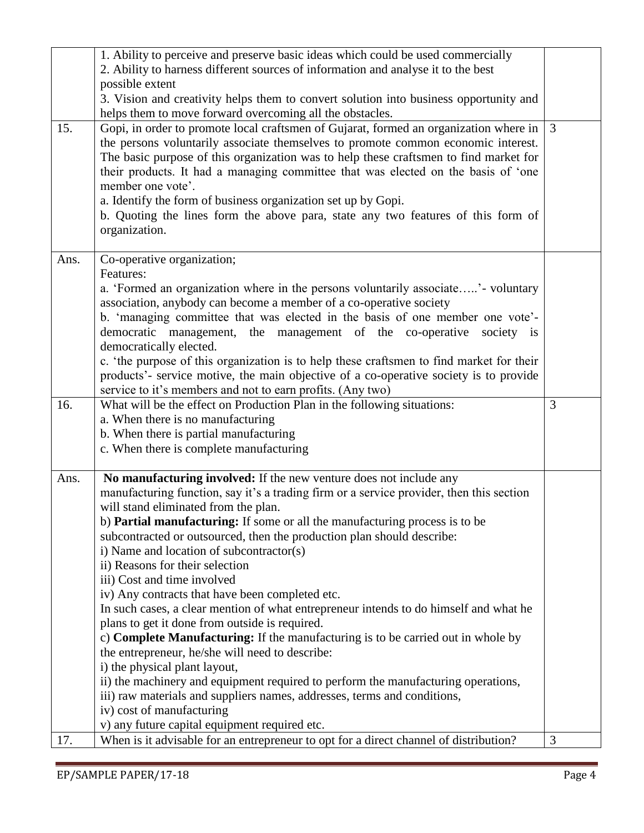|      | 1. Ability to perceive and preserve basic ideas which could be used commercially                                                       |   |
|------|----------------------------------------------------------------------------------------------------------------------------------------|---|
|      | 2. Ability to harness different sources of information and analyse it to the best                                                      |   |
|      | possible extent                                                                                                                        |   |
|      | 3. Vision and creativity helps them to convert solution into business opportunity and                                                  |   |
|      | helps them to move forward overcoming all the obstacles.                                                                               |   |
| 15.  | Gopi, in order to promote local craftsmen of Gujarat, formed an organization where in                                                  | 3 |
|      | the persons voluntarily associate themselves to promote common economic interest.                                                      |   |
|      | The basic purpose of this organization was to help these craftsmen to find market for                                                  |   |
|      | their products. It had a managing committee that was elected on the basis of 'one                                                      |   |
|      | member one vote'.                                                                                                                      |   |
|      | a. Identify the form of business organization set up by Gopi.                                                                          |   |
|      | b. Quoting the lines form the above para, state any two features of this form of                                                       |   |
|      | organization.                                                                                                                          |   |
|      |                                                                                                                                        |   |
| Ans. | Co-operative organization;                                                                                                             |   |
|      | Features:                                                                                                                              |   |
|      | a. 'Formed an organization where in the persons voluntarily associate' - voluntary                                                     |   |
|      | association, anybody can become a member of a co-operative society                                                                     |   |
|      | b. 'managing committee that was elected in the basis of one member one vote'-                                                          |   |
|      | democratic management, the management of the co-operative<br>society is                                                                |   |
|      | democratically elected.                                                                                                                |   |
|      | c. 'the purpose of this organization is to help these craftsmen to find market for their                                               |   |
|      | products'- service motive, the main objective of a co-operative society is to provide                                                  |   |
|      | service to it's members and not to earn profits. (Any two)                                                                             |   |
|      |                                                                                                                                        |   |
|      |                                                                                                                                        |   |
| 16.  | What will be the effect on Production Plan in the following situations:                                                                | 3 |
|      | a. When there is no manufacturing                                                                                                      |   |
|      | b. When there is partial manufacturing<br>c. When there is complete manufacturing                                                      |   |
|      |                                                                                                                                        |   |
| Ans. | No manufacturing involved: If the new venture does not include any                                                                     |   |
|      | manufacturing function, say it's a trading firm or a service provider, then this section                                               |   |
|      | will stand eliminated from the plan.                                                                                                   |   |
|      | b) Partial manufacturing: If some or all the manufacturing process is to be                                                            |   |
|      | subcontracted or outsourced, then the production plan should describe:                                                                 |   |
|      | i) Name and location of subcontractor(s)                                                                                               |   |
|      | ii) Reasons for their selection                                                                                                        |   |
|      | iii) Cost and time involved                                                                                                            |   |
|      | iv) Any contracts that have been completed etc.                                                                                        |   |
|      | In such cases, a clear mention of what entrepreneur intends to do himself and what he                                                  |   |
|      | plans to get it done from outside is required.                                                                                         |   |
|      | c) Complete Manufacturing: If the manufacturing is to be carried out in whole by                                                       |   |
|      | the entrepreneur, he/she will need to describe:                                                                                        |   |
|      | i) the physical plant layout,                                                                                                          |   |
|      | ii) the machinery and equipment required to perform the manufacturing operations,                                                      |   |
|      | iii) raw materials and suppliers names, addresses, terms and conditions,                                                               |   |
|      | iv) cost of manufacturing                                                                                                              |   |
| 17.  | v) any future capital equipment required etc.<br>When is it advisable for an entrepreneur to opt for a direct channel of distribution? | 3 |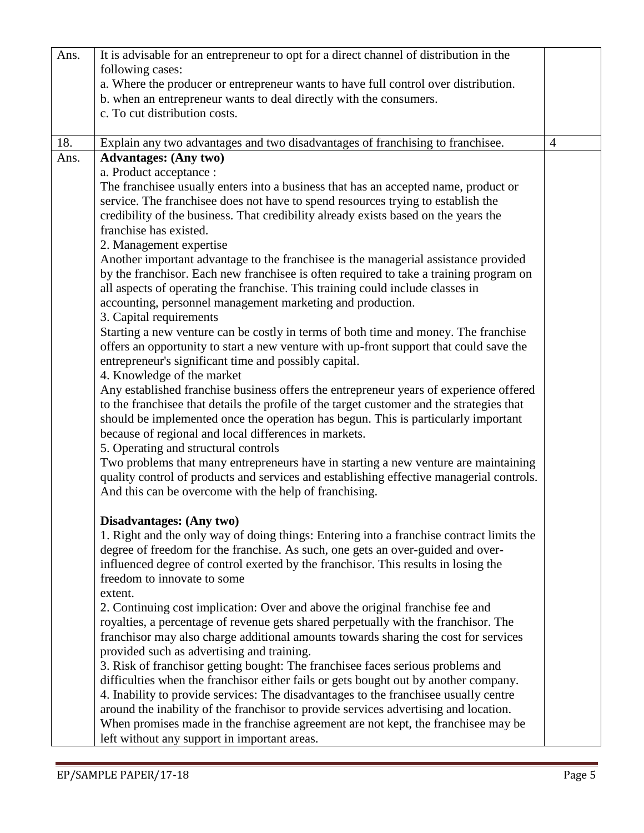| Ans. | It is advisable for an entrepreneur to opt for a direct channel of distribution in the   |                |
|------|------------------------------------------------------------------------------------------|----------------|
|      | following cases:                                                                         |                |
|      | a. Where the producer or entrepreneur wants to have full control over distribution.      |                |
|      | b. when an entrepreneur wants to deal directly with the consumers.                       |                |
|      | c. To cut distribution costs.                                                            |                |
|      |                                                                                          |                |
| 18.  | Explain any two advantages and two disadvantages of franchising to franchisee.           | $\overline{4}$ |
| Ans. | <b>Advantages:</b> (Any two)                                                             |                |
|      | a. Product acceptance :                                                                  |                |
|      | The franchisee usually enters into a business that has an accepted name, product or      |                |
|      | service. The franchisee does not have to spend resources trying to establish the         |                |
|      | credibility of the business. That credibility already exists based on the years the      |                |
|      | franchise has existed.                                                                   |                |
|      | 2. Management expertise                                                                  |                |
|      | Another important advantage to the franchisee is the managerial assistance provided      |                |
|      | by the franchisor. Each new franchisee is often required to take a training program on   |                |
|      | all aspects of operating the franchise. This training could include classes in           |                |
|      | accounting, personnel management marketing and production.                               |                |
|      | 3. Capital requirements                                                                  |                |
|      | Starting a new venture can be costly in terms of both time and money. The franchise      |                |
|      | offers an opportunity to start a new venture with up-front support that could save the   |                |
|      | entrepreneur's significant time and possibly capital.                                    |                |
|      | 4. Knowledge of the market                                                               |                |
|      | Any established franchise business offers the entrepreneur years of experience offered   |                |
|      | to the franchise that details the profile of the target customer and the strategies that |                |
|      | should be implemented once the operation has begun. This is particularly important       |                |
|      | because of regional and local differences in markets.                                    |                |
|      | 5. Operating and structural controls                                                     |                |
|      | Two problems that many entrepreneurs have in starting a new venture are maintaining      |                |
|      | quality control of products and services and establishing effective managerial controls. |                |
|      | And this can be overcome with the help of franchising.                                   |                |
|      | Disadvantages: (Any two)                                                                 |                |
|      | 1. Right and the only way of doing things: Entering into a franchise contract limits the |                |
|      | degree of freedom for the franchise. As such, one gets an over-guided and over-          |                |
|      | influenced degree of control exerted by the franchisor. This results in losing the       |                |
|      | freedom to innovate to some                                                              |                |
|      | extent.                                                                                  |                |
|      | 2. Continuing cost implication: Over and above the original franchise fee and            |                |
|      | royalties, a percentage of revenue gets shared perpetually with the franchisor. The      |                |
|      | franchisor may also charge additional amounts towards sharing the cost for services      |                |
|      | provided such as advertising and training.                                               |                |
|      | 3. Risk of franchisor getting bought: The franchisee faces serious problems and          |                |
|      | difficulties when the franchisor either fails or gets bought out by another company.     |                |
|      | 4. Inability to provide services: The disadvantages to the franchisee usually centre     |                |
|      | around the inability of the franchisor to provide services advertising and location.     |                |
|      | When promises made in the franchise agreement are not kept, the franchisee may be        |                |
|      | left without any support in important areas.                                             |                |
|      |                                                                                          |                |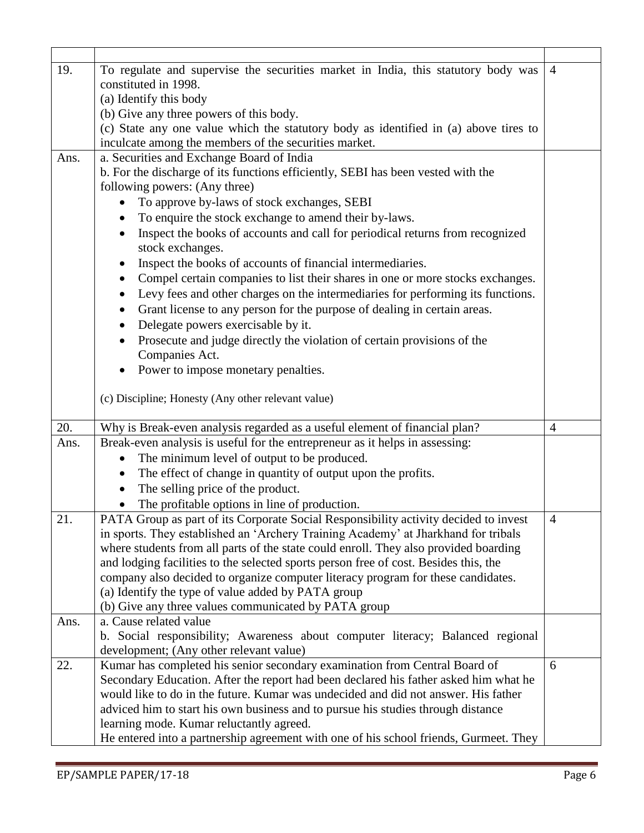| 19.  | To regulate and supervise the securities market in India, this statutory body was     | $\overline{4}$ |  |  |
|------|---------------------------------------------------------------------------------------|----------------|--|--|
|      | constituted in 1998.                                                                  |                |  |  |
|      | (a) Identify this body                                                                |                |  |  |
|      | (b) Give any three powers of this body.                                               |                |  |  |
|      | (c) State any one value which the statutory body as identified in (a) above tires to  |                |  |  |
|      | inculcate among the members of the securities market.                                 |                |  |  |
| Ans. | a. Securities and Exchange Board of India                                             |                |  |  |
|      | b. For the discharge of its functions efficiently, SEBI has been vested with the      |                |  |  |
|      | following powers: (Any three)                                                         |                |  |  |
|      | To approve by-laws of stock exchanges, SEBI                                           |                |  |  |
|      | To enquire the stock exchange to amend their by-laws.                                 |                |  |  |
|      | Inspect the books of accounts and call for periodical returns from recognized         |                |  |  |
|      | stock exchanges.                                                                      |                |  |  |
|      | Inspect the books of accounts of financial intermediaries.<br>$\bullet$               |                |  |  |
|      | Compel certain companies to list their shares in one or more stocks exchanges.        |                |  |  |
|      | Levy fees and other charges on the intermediaries for performing its functions.       |                |  |  |
|      | Grant license to any person for the purpose of dealing in certain areas.              |                |  |  |
|      | Delegate powers exercisable by it.<br>$\bullet$                                       |                |  |  |
|      | Prosecute and judge directly the violation of certain provisions of the               |                |  |  |
|      | Companies Act.                                                                        |                |  |  |
|      | Power to impose monetary penalties.                                                   |                |  |  |
|      |                                                                                       |                |  |  |
|      | (c) Discipline; Honesty (Any other relevant value)                                    |                |  |  |
|      |                                                                                       |                |  |  |
| 20.  | Why is Break-even analysis regarded as a useful element of financial plan?            | $\overline{4}$ |  |  |
| Ans. | Break-even analysis is useful for the entrepreneur as it helps in assessing:          |                |  |  |
|      | The minimum level of output to be produced.                                           |                |  |  |
|      | The effect of change in quantity of output upon the profits.<br>$\bullet$             |                |  |  |
|      | The selling price of the product.<br>٠                                                |                |  |  |
|      | The profitable options in line of production.                                         |                |  |  |
| 21   | PATA Group as part of its Corporate Social Responsibility activity decided to invest  | $\overline{4}$ |  |  |
|      | in sports. They established an 'Archery Training Academy' at Jharkhand for tribals    |                |  |  |
|      | where students from all parts of the state could enroll. They also provided boarding  |                |  |  |
|      | and lodging facilities to the selected sports person free of cost. Besides this, the  |                |  |  |
|      | company also decided to organize computer literacy program for these candidates.      |                |  |  |
|      | (a) Identify the type of value added by PATA group                                    |                |  |  |
|      | (b) Give any three values communicated by PATA group                                  |                |  |  |
| Ans. | a. Cause related value                                                                |                |  |  |
|      | b. Social responsibility; Awareness about computer literacy; Balanced regional        |                |  |  |
|      | development; (Any other relevant value)                                               |                |  |  |
| 22.  | Kumar has completed his senior secondary examination from Central Board of            | 6              |  |  |
|      | Secondary Education. After the report had been declared his father asked him what he  |                |  |  |
|      | would like to do in the future. Kumar was undecided and did not answer. His father    |                |  |  |
|      | adviced him to start his own business and to pursue his studies through distance      |                |  |  |
|      | learning mode. Kumar reluctantly agreed.                                              |                |  |  |
|      | He entered into a partnership agreement with one of his school friends, Gurmeet. They |                |  |  |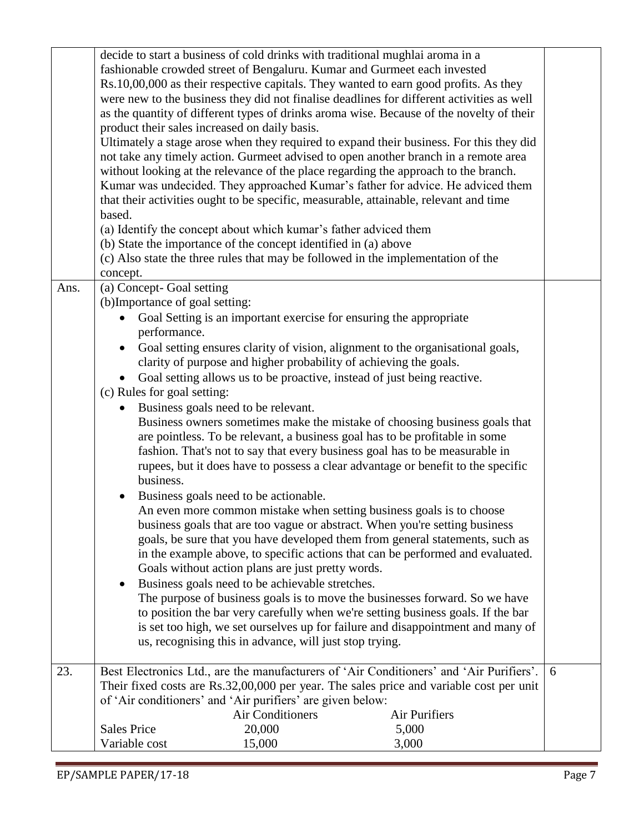|      |                                                                  |                         | decide to start a business of cold drinks with traditional mughlai aroma in a             |   |
|------|------------------------------------------------------------------|-------------------------|-------------------------------------------------------------------------------------------|---|
|      |                                                                  |                         | fashionable crowded street of Bengaluru. Kumar and Gurmeet each invested                  |   |
|      |                                                                  |                         | Rs.10,00,000 as their respective capitals. They wanted to earn good profits. As they      |   |
|      |                                                                  |                         | were new to the business they did not finalise deadlines for different activities as well |   |
|      |                                                                  |                         | as the quantity of different types of drinks aroma wise. Because of the novelty of their  |   |
|      | product their sales increased on daily basis.                    |                         |                                                                                           |   |
|      |                                                                  |                         | Ultimately a stage arose when they required to expand their business. For this they did   |   |
|      |                                                                  |                         | not take any timely action. Gurmeet advised to open another branch in a remote area       |   |
|      |                                                                  |                         | without looking at the relevance of the place regarding the approach to the branch.       |   |
|      |                                                                  |                         | Kumar was undecided. They approached Kumar's father for advice. He adviced them           |   |
|      |                                                                  |                         | that their activities ought to be specific, measurable, attainable, relevant and time     |   |
|      | based.                                                           |                         |                                                                                           |   |
|      | (a) Identify the concept about which kumar's father adviced them |                         |                                                                                           |   |
|      | (b) State the importance of the concept identified in (a) above  |                         |                                                                                           |   |
|      |                                                                  |                         | (c) Also state the three rules that may be followed in the implementation of the          |   |
|      |                                                                  |                         |                                                                                           |   |
|      | concept.                                                         |                         |                                                                                           |   |
| Ans. | (a) Concept-Goal setting                                         |                         |                                                                                           |   |
|      | (b)Importance of goal setting:                                   |                         |                                                                                           |   |
|      |                                                                  |                         | Goal Setting is an important exercise for ensuring the appropriate                        |   |
|      | performance.                                                     |                         |                                                                                           |   |
|      |                                                                  |                         | Goal setting ensures clarity of vision, alignment to the organisational goals,            |   |
|      |                                                                  |                         | clarity of purpose and higher probability of achieving the goals.                         |   |
|      |                                                                  |                         | Goal setting allows us to be proactive, instead of just being reactive.                   |   |
|      | (c) Rules for goal setting:                                      |                         |                                                                                           |   |
|      | Business goals need to be relevant.                              |                         |                                                                                           |   |
|      |                                                                  |                         | Business owners sometimes make the mistake of choosing business goals that                |   |
|      |                                                                  |                         | are pointless. To be relevant, a business goal has to be profitable in some               |   |
|      |                                                                  |                         | fashion. That's not to say that every business goal has to be measurable in               |   |
|      |                                                                  |                         | rupees, but it does have to possess a clear advantage or benefit to the specific          |   |
|      | business.                                                        |                         |                                                                                           |   |
|      | Business goals need to be actionable.                            |                         |                                                                                           |   |
|      |                                                                  |                         | An even more common mistake when setting business goals is to choose                      |   |
|      |                                                                  |                         | business goals that are too vague or abstract. When you're setting business               |   |
|      |                                                                  |                         | goals, be sure that you have developed them from general statements, such as              |   |
|      |                                                                  |                         | in the example above, to specific actions that can be performed and evaluated.            |   |
|      | Goals without action plans are just pretty words.                |                         |                                                                                           |   |
|      | Business goals need to be achievable stretches.                  |                         |                                                                                           |   |
|      |                                                                  |                         | The purpose of business goals is to move the businesses forward. So we have               |   |
|      |                                                                  |                         | to position the bar very carefully when we're setting business goals. If the bar          |   |
|      |                                                                  |                         | is set too high, we set ourselves up for failure and disappointment and many of           |   |
|      | us, recognising this in advance, will just stop trying.          |                         |                                                                                           |   |
|      |                                                                  |                         |                                                                                           |   |
| 23.  |                                                                  |                         | Best Electronics Ltd., are the manufacturers of 'Air Conditioners' and 'Air Purifiers'.   | 6 |
|      |                                                                  |                         | Their fixed costs are Rs.32,00,000 per year. The sales price and variable cost per unit   |   |
|      | of 'Air conditioners' and 'Air purifiers' are given below:       |                         |                                                                                           |   |
|      |                                                                  | <b>Air Conditioners</b> | Air Purifiers                                                                             |   |
|      | <b>Sales Price</b>                                               | 20,000                  | 5,000                                                                                     |   |
|      | Variable cost                                                    | 15,000                  | 3,000                                                                                     |   |
|      |                                                                  |                         |                                                                                           |   |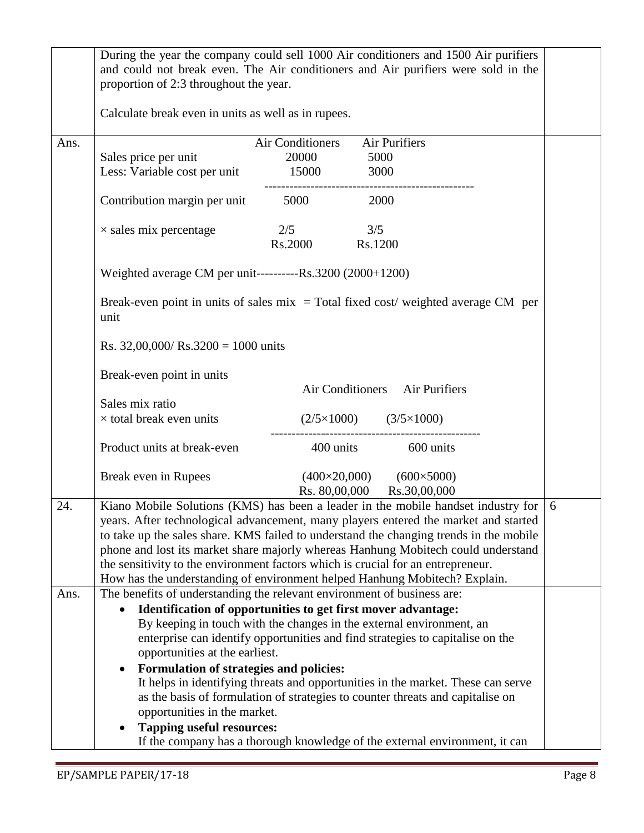|      | proportion of 2:3 throughout the year.                                                                                                                                                                                                                                                                                                                                                                                                                                                                                    | During the year the company could sell 1000 Air conditioners and 1500 Air purifiers<br>and could not break even. The Air conditioners and Air purifiers were sold in the |   |
|------|---------------------------------------------------------------------------------------------------------------------------------------------------------------------------------------------------------------------------------------------------------------------------------------------------------------------------------------------------------------------------------------------------------------------------------------------------------------------------------------------------------------------------|--------------------------------------------------------------------------------------------------------------------------------------------------------------------------|---|
|      | Calculate break even in units as well as in rupees.                                                                                                                                                                                                                                                                                                                                                                                                                                                                       |                                                                                                                                                                          |   |
| Ans. | Sales price per unit<br>Less: Variable cost per unit 15000                                                                                                                                                                                                                                                                                                                                                                                                                                                                | <b>Air Conditioners</b><br>Air Purifiers<br>20000<br>5000<br>3000                                                                                                        |   |
|      | Contribution margin per unit 5000                                                                                                                                                                                                                                                                                                                                                                                                                                                                                         | 2000                                                                                                                                                                     |   |
|      | $\times$ sales mix percentage                                                                                                                                                                                                                                                                                                                                                                                                                                                                                             | 2/5<br>3/5<br>Rs.2000<br>Rs.1200                                                                                                                                         |   |
|      | Weighted average CM per unit----------Rs.3200 (2000+1200)                                                                                                                                                                                                                                                                                                                                                                                                                                                                 |                                                                                                                                                                          |   |
|      | Break-even point in units of sales $mix = Total fixed cost$ weighted average CM per<br>unit                                                                                                                                                                                                                                                                                                                                                                                                                               |                                                                                                                                                                          |   |
|      | Rs. $32,00,000$ / Rs. $3200 = 1000$ units                                                                                                                                                                                                                                                                                                                                                                                                                                                                                 |                                                                                                                                                                          |   |
|      | Break-even point in units                                                                                                                                                                                                                                                                                                                                                                                                                                                                                                 | Air Conditioners Air Purifiers                                                                                                                                           |   |
|      | Sales mix ratio<br>$\times$ total break even units                                                                                                                                                                                                                                                                                                                                                                                                                                                                        | $(2/5 \times 1000)$ $(3/5 \times 1000)$                                                                                                                                  |   |
|      | Product units at break-even                                                                                                                                                                                                                                                                                                                                                                                                                                                                                               | 400 units 600 units                                                                                                                                                      |   |
|      | Break even in Rupees                                                                                                                                                                                                                                                                                                                                                                                                                                                                                                      | $(400\times20,000)$ $(600\times5000)$<br>Rs. 80,00,000<br>Rs.30,00,000                                                                                                   |   |
| 24.  | Kiano Mobile Solutions (KMS) has been a leader in the mobile handset industry for<br>years. After technological advancement, many players entered the market and started<br>to take up the sales share. KMS failed to understand the changing trends in the mobile<br>phone and lost its market share majorly whereas Hanhung Mobitech could understand<br>the sensitivity to the environment factors which is crucial for an entrepreneur.<br>How has the understanding of environment helped Hanhung Mobitech? Explain. |                                                                                                                                                                          | 6 |
| Ans. | The benefits of understanding the relevant environment of business are:<br>Identification of opportunities to get first mover advantage:<br>$\bullet$<br>By keeping in touch with the changes in the external environment, an<br>enterprise can identify opportunities and find strategies to capitalise on the<br>opportunities at the earliest.<br>Formulation of strategies and policies:<br>$\bullet$                                                                                                                 |                                                                                                                                                                          |   |
|      | It helps in identifying threats and opportunities in the market. These can serve<br>as the basis of formulation of strategies to counter threats and capitalise on<br>opportunities in the market.                                                                                                                                                                                                                                                                                                                        |                                                                                                                                                                          |   |
|      | <b>Tapping useful resources:</b>                                                                                                                                                                                                                                                                                                                                                                                                                                                                                          | If the company has a thorough knowledge of the external environment, it can                                                                                              |   |